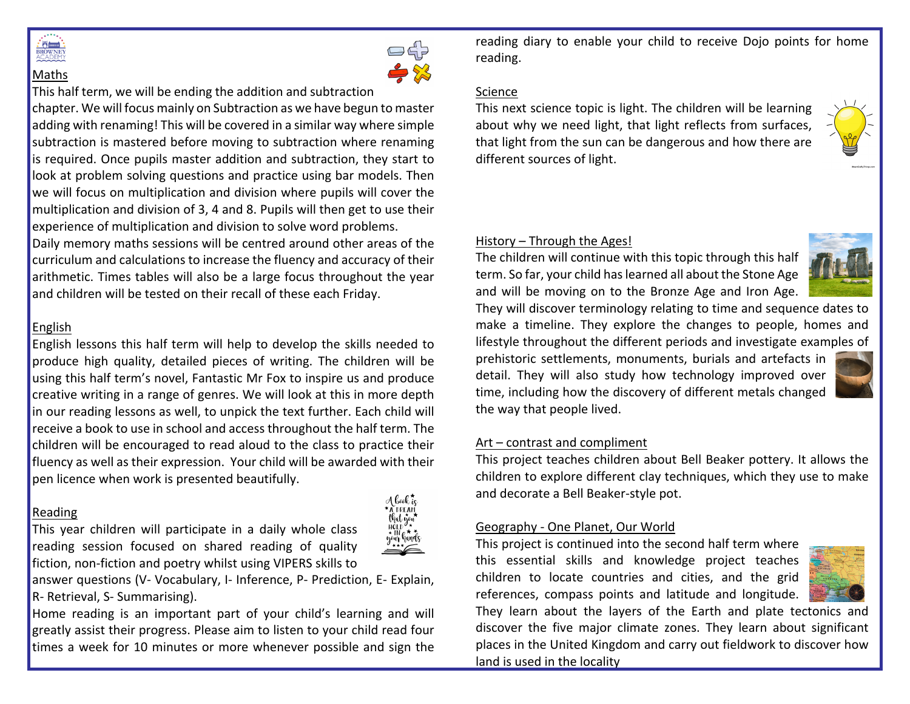

Maths

# 

This half term, we will be ending the addition and subtraction

chapter. We will focus mainly on Subtraction as we have begun to master adding with renaming! This will be covered in a similar way where simple subtraction is mastered before moving to subtraction where renaming is required. Once pupils master addition and subtraction, they start to look at problem solving questions and practice using bar models. Then we will focus on multiplication and division where pupils will cover the multiplication and division of 3, 4 and 8. Pupils will then get to use their experience of multiplication and division to solve word problems.

Daily memory maths sessions will be centred around other areas of the curriculum and calculations to increase the fluency and accuracy of their arithmetic. Times tables will also be a large focus throughout the year and children will be tested on their recall of these each Friday.

# English

English lessons this half term will help to develop the skills needed to produce high quality, detailed pieces of writing. The children will be using this half term's novel, Fantastic Mr Fox to inspire us and produce creative writing in a range of genres. We will look at this in more depth in our reading lessons as well, to unpick the text further. Each child will receive a book to use in school and access throughout the half term. The children will be encouraged to read aloud to the class to practice their fluency as well as their expression. Your child will be awarded with their pen licence when work is presented beautifully.

### Reading

This year children will participate in a daily whole class reading session focused on shared reading of quality fiction, non-fiction and poetry whilst using VIPERS skills to



answer questions (V- Vocabulary, I- Inference, P- Prediction, E- Explain, R- Retrieval, S- Summarising).

Home reading is an important part of your child's learning and will greatly assist their progress. Please aim to listen to your child read four times a week for 10 minutes or more whenever possible and sign the reading diary to enable your child to receive Dojo points for home reading.

### Science

This next science topic is light. The children will be learning about why we need light, that light reflects from surfaces, that light from the sun can be dangerous and how there are different sources of light.



# History – Through the Ages!

The children will continue with this topic through this half term. So far, your child has learned all about the Stone Age and will be moving on to the Bronze Age and Iron Age.

They will discover terminology relating to time and sequence dates to make a timeline. They explore the changes to people, homes and lifestyle throughout the different periods and investigate examples of

prehistoric settlements, monuments, burials and artefacts in detail. They will also study how technology improved over time, including how the discovery of different metals changed the way that people lived.

# Art – contrast and compliment

This project teaches children about Bell Beaker pottery. It allows the children to explore different clay techniques, which they use to make and decorate a Bell Beaker-style pot.

# Geography - One Planet, Our World

This project is continued into the second half term where this essential skills and knowledge project teaches children to locate countries and cities, and the grid references, compass points and latitude and longitude.



They learn about the layers of the Earth and plate tectonics and discover the five major climate zones. They learn about significant places in the United Kingdom and carry out fieldwork to discover how land is used in the locality

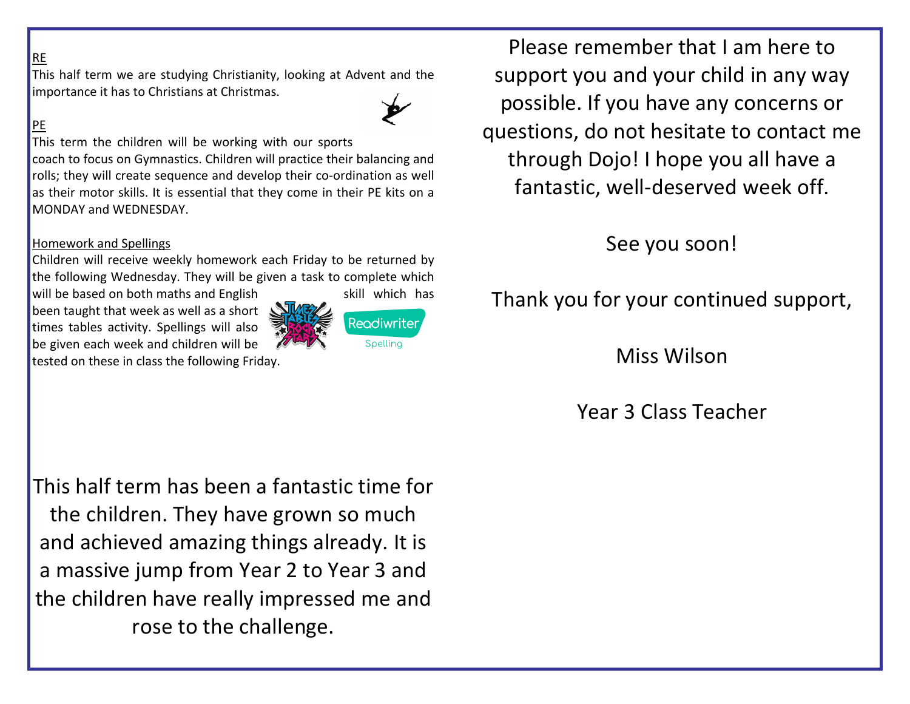# RE

This half term we are studying Christianity, looking at Advent and the importance it has to Christians at Christmas.

# PE

This term the children will be working with our sports

coach to focus on Gymnastics. Children will practice their balancing and rolls; they will create sequence and develop their co-ordination as well as their motor skills. It is essential that they come in their PE kits on a MONDAY and WEDNESDAY.

#### Homework and Spellings

Children will receive weekly homework each Friday to be returned by the following Wednesday. They will be given a task to complete which

will be based on both maths and English skill which has been taught that week as well as a short times tables activity. Spellings will also be given each week and children will be tested on these in class the following Friday.



Please remember that I am here to support you and your child in any way possible. If you have any concerns or questions, do not hesitate to contact me through Dojo! I hope you all have a fantastic, well-deserved week off.

See you soon!

Thank you for your continued support,

Miss Wilson

Year 3 Class Teacher

This half term has been a fantastic time for the children. They have grown so much and achieved amazing things already. It is a massive jump from Year 2 to Year 3 and the children have really impressed me and rose to the challenge.